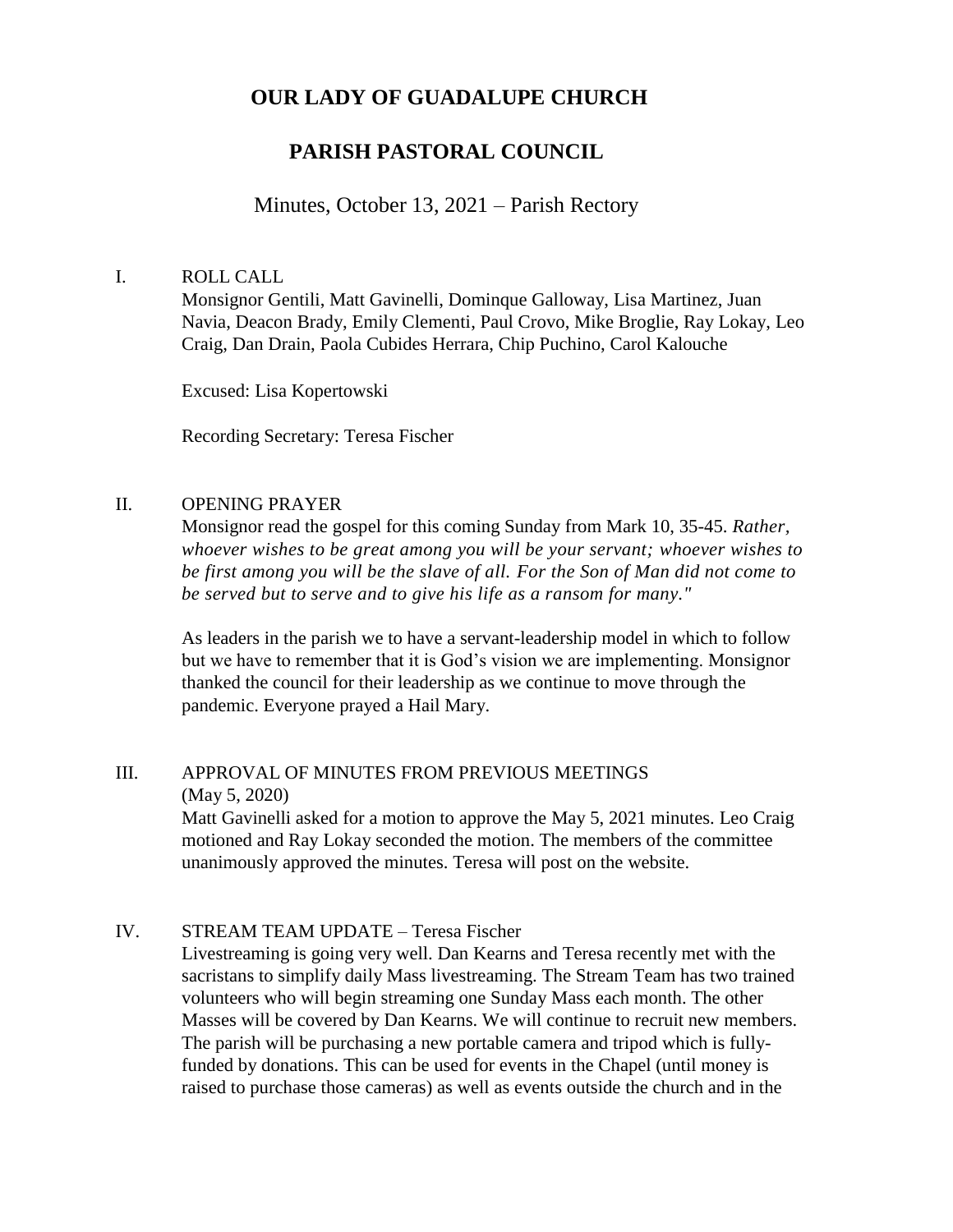## **OUR LADY OF GUADALUPE CHURCH**

# **PARISH PASTORAL COUNCIL**

### Minutes, October 13, 2021 – Parish Rectory

#### I. ROLL CALL

Monsignor Gentili, Matt Gavinelli, Dominque Galloway, Lisa Martinez, Juan Navia, Deacon Brady, Emily Clementi, Paul Crovo, Mike Broglie, Ray Lokay, Leo Craig, Dan Drain, Paola Cubides Herrara, Chip Puchino, Carol Kalouche

Excused: Lisa Kopertowski

Recording Secretary: Teresa Fischer

#### II. OPENING PRAYER

Monsignor read the gospel for this coming Sunday from Mark 10, 35-45. *Rather, whoever wishes to be great among you will be your servant; whoever wishes to be first among you will be the slave of all. For the Son of Man did not come to be served but to serve and to give his life as a ransom for many."*

As leaders in the parish we to have a servant-leadership model in which to follow but we have to remember that it is God's vision we are implementing. Monsignor thanked the council for their leadership as we continue to move through the pandemic. Everyone prayed a Hail Mary.

#### III. APPROVAL OF MINUTES FROM PREVIOUS MEETINGS (May 5, 2020)

Matt Gavinelli asked for a motion to approve the May 5, 2021 minutes. Leo Craig motioned and Ray Lokay seconded the motion. The members of the committee unanimously approved the minutes. Teresa will post on the website.

#### IV. STREAM TEAM UPDATE – Teresa Fischer

Livestreaming is going very well. Dan Kearns and Teresa recently met with the sacristans to simplify daily Mass livestreaming. The Stream Team has two trained volunteers who will begin streaming one Sunday Mass each month. The other Masses will be covered by Dan Kearns. We will continue to recruit new members. The parish will be purchasing a new portable camera and tripod which is fullyfunded by donations. This can be used for events in the Chapel (until money is raised to purchase those cameras) as well as events outside the church and in the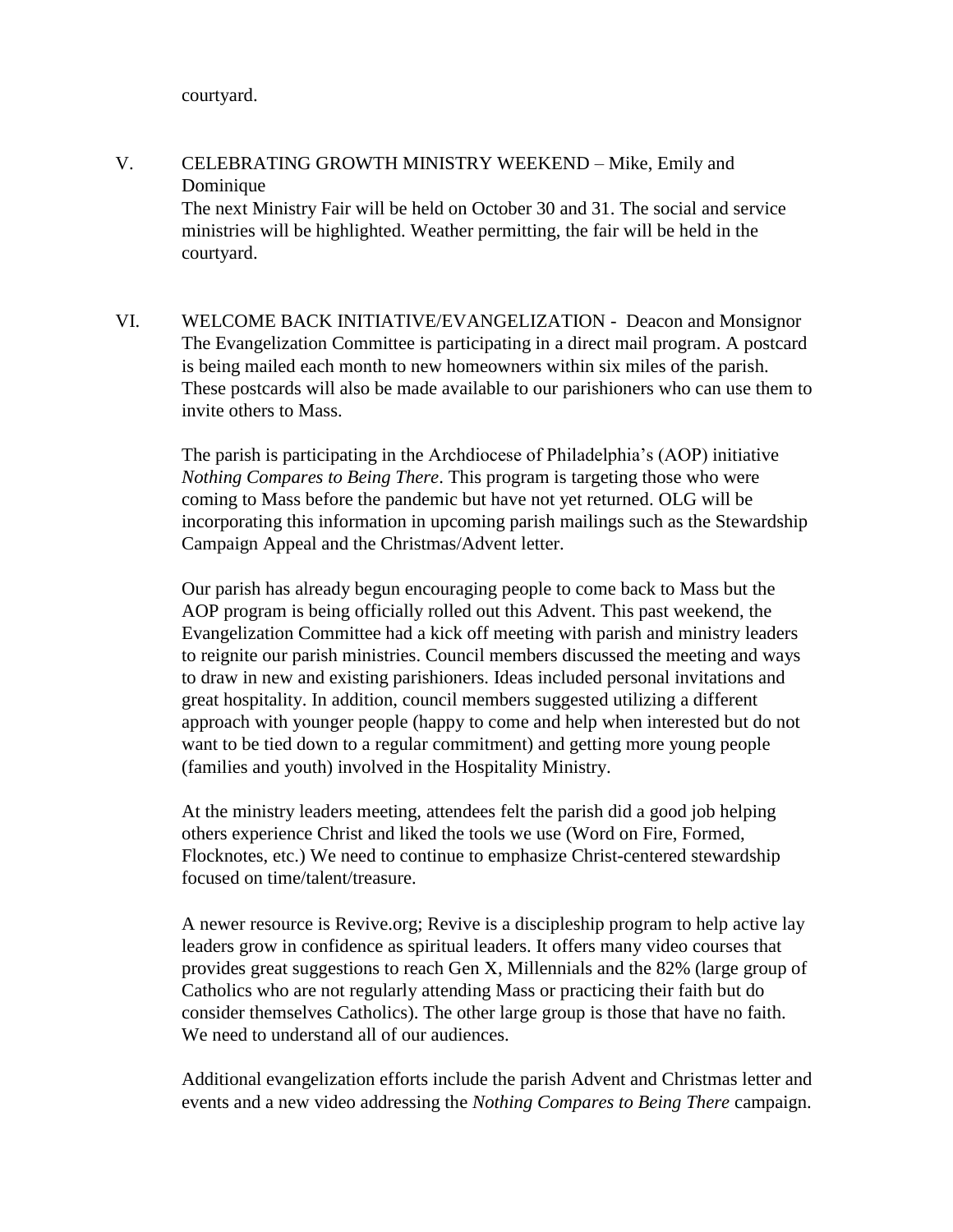courtyard.

- V. CELEBRATING GROWTH MINISTRY WEEKEND Mike, Emily and Dominique The next Ministry Fair will be held on October 30 and 31. The social and service ministries will be highlighted. Weather permitting, the fair will be held in the courtyard.
- VI. WELCOME BACK INITIATIVE/EVANGELIZATION Deacon and Monsignor The Evangelization Committee is participating in a direct mail program. A postcard is being mailed each month to new homeowners within six miles of the parish. These postcards will also be made available to our parishioners who can use them to invite others to Mass.

The parish is participating in the Archdiocese of Philadelphia's (AOP) initiative *Nothing Compares to Being There*. This program is targeting those who were coming to Mass before the pandemic but have not yet returned. OLG will be incorporating this information in upcoming parish mailings such as the Stewardship Campaign Appeal and the Christmas/Advent letter.

Our parish has already begun encouraging people to come back to Mass but the AOP program is being officially rolled out this Advent. This past weekend, the Evangelization Committee had a kick off meeting with parish and ministry leaders to reignite our parish ministries. Council members discussed the meeting and ways to draw in new and existing parishioners. Ideas included personal invitations and great hospitality. In addition, council members suggested utilizing a different approach with younger people (happy to come and help when interested but do not want to be tied down to a regular commitment) and getting more young people (families and youth) involved in the Hospitality Ministry.

At the ministry leaders meeting, attendees felt the parish did a good job helping others experience Christ and liked the tools we use (Word on Fire, Formed, Flocknotes, etc.) We need to continue to emphasize Christ-centered stewardship focused on time/talent/treasure.

A newer resource is Revive.org; Revive is a discipleship program to help active lay leaders grow in confidence as spiritual leaders. It offers many video courses that provides great suggestions to reach Gen X, Millennials and the 82% (large group of Catholics who are not regularly attending Mass or practicing their faith but do consider themselves Catholics). The other large group is those that have no faith. We need to understand all of our audiences.

Additional evangelization efforts include the parish Advent and Christmas letter and events and a new video addressing the *Nothing Compares to Being There* campaign.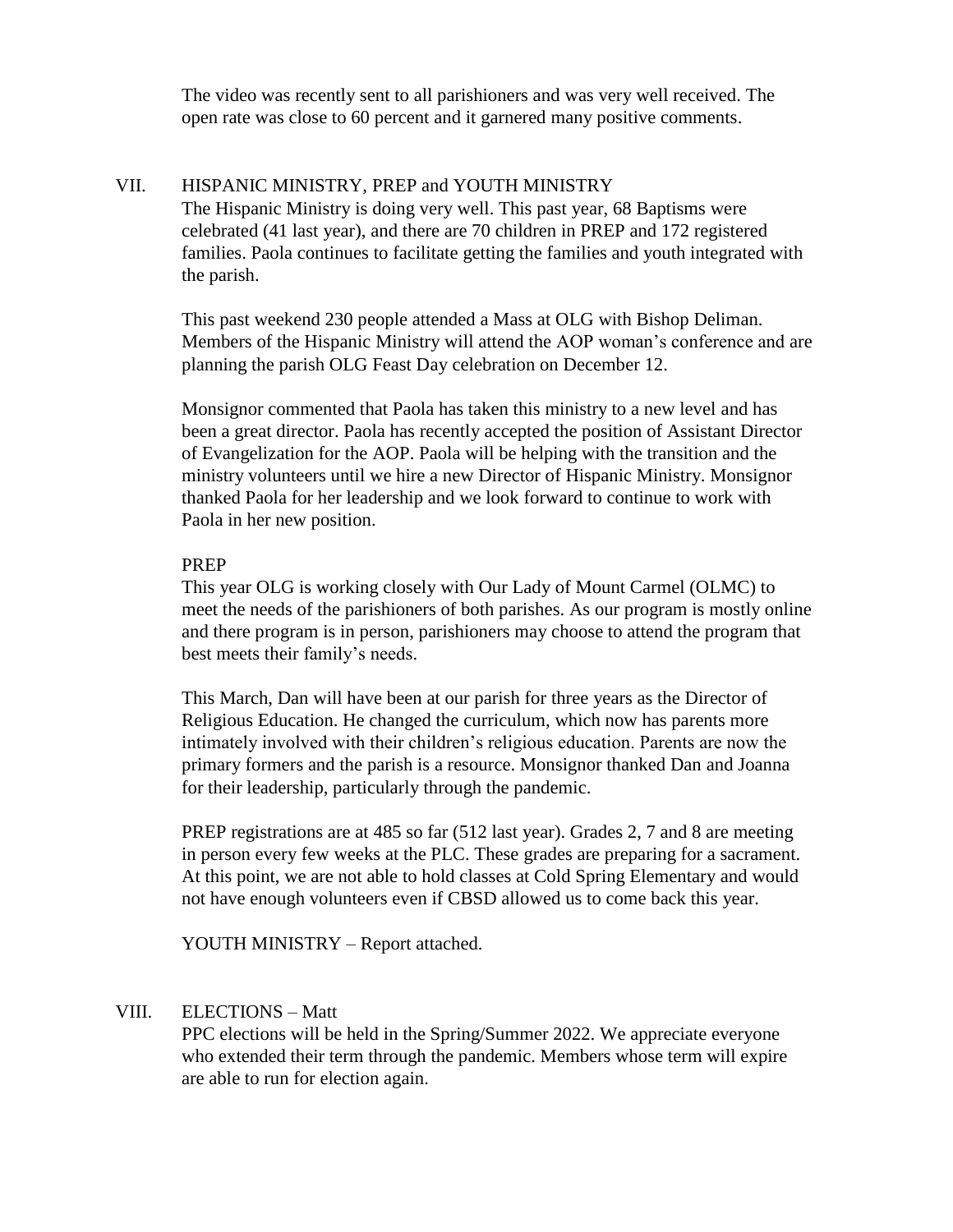The video was recently sent to all parishioners and was very well received. The open rate was close to 60 percent and it garnered many positive comments.

#### VII. HISPANIC MINISTRY, PREP and YOUTH MINISTRY

The Hispanic Ministry is doing very well. This past year, 68 Baptisms were celebrated (41 last year), and there are 70 children in PREP and 172 registered families. Paola continues to facilitate getting the families and youth integrated with the parish.

This past weekend 230 people attended a Mass at OLG with Bishop Deliman. Members of the Hispanic Ministry will attend the AOP woman's conference and are planning the parish OLG Feast Day celebration on December 12.

Monsignor commented that Paola has taken this ministry to a new level and has been a great director. Paola has recently accepted the position of Assistant Director of Evangelization for the AOP. Paola will be helping with the transition and the ministry volunteers until we hire a new Director of Hispanic Ministry. Monsignor thanked Paola for her leadership and we look forward to continue to work with Paola in her new position.

#### PREP

This year OLG is working closely with Our Lady of Mount Carmel (OLMC) to meet the needs of the parishioners of both parishes. As our program is mostly online and there program is in person, parishioners may choose to attend the program that best meets their family's needs.

This March, Dan will have been at our parish for three years as the Director of Religious Education. He changed the curriculum, which now has parents more intimately involved with their children's religious education. Parents are now the primary formers and the parish is a resource. Monsignor thanked Dan and Joanna for their leadership, particularly through the pandemic.

PREP registrations are at 485 so far (512 last year). Grades 2, 7 and 8 are meeting in person every few weeks at the PLC. These grades are preparing for a sacrament. At this point, we are not able to hold classes at Cold Spring Elementary and would not have enough volunteers even if CBSD allowed us to come back this year.

YOUTH MINISTRY – Report attached.

#### VIII. ELECTIONS – Matt

PPC elections will be held in the Spring/Summer 2022. We appreciate everyone who extended their term through the pandemic. Members whose term will expire are able to run for election again.